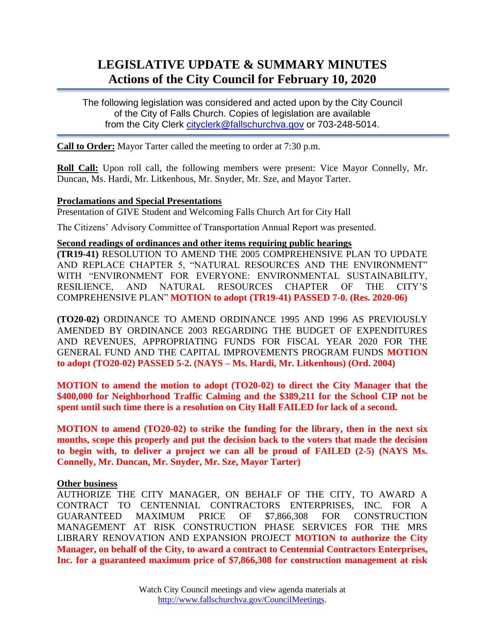# **LEGISLATIVE UPDATE & SUMMARY MINUTES Actions of the City Council for February 10, 2020**

The following legislation was considered and acted upon by the City Council of the City of Falls Church. Copies of legislation are available from the City Clerk [cityclerk@fallschurchva.gov](mailto:cityclerk@fallschurchva.gov) or 703-248-5014.

**Call to Order:** Mayor Tarter called the meeting to order at 7:30 p.m.

**Roll Call:** Upon roll call, the following members were present: Vice Mayor Connelly, Mr. Duncan, Ms. Hardi, Mr. Litkenhous, Mr. Snyder, Mr. Sze, and Mayor Tarter.

## **Proclamations and Special Presentations**

Presentation of GIVE Student and Welcoming Falls Church Art for City Hall

The Citizens' Advisory Committee of Transportation Annual Report was presented.

#### **Second readings of ordinances and other items requiring public hearings**

**(TR19-41)** RESOLUTION TO AMEND THE 2005 COMPREHENSIVE PLAN TO UPDATE AND REPLACE CHAPTER 5, "NATURAL RESOURCES AND THE ENVIRONMENT" WITH "ENVIRONMENT FOR EVERYONE: ENVIRONMENTAL SUSTAINABILITY, RESILIENCE, AND NATURAL RESOURCES CHAPTER OF THE CITY'S COMPREHENSIVE PLAN" **MOTION to adopt (TR19-41) PASSED 7-0. (Res. 2020-06)**

**(TO20-02)** ORDINANCE TO AMEND ORDINANCE 1995 AND 1996 AS PREVIOUSLY AMENDED BY ORDINANCE 2003 REGARDING THE BUDGET OF EXPENDITURES AND REVENUES, APPROPRIATING FUNDS FOR FISCAL YEAR 2020 FOR THE GENERAL FUND AND THE CAPITAL IMPROVEMENTS PROGRAM FUNDS **MOTION to adopt (TO20-02) PASSED 5-2. (NAYS – Ms. Hardi, Mr. Litkenhous) (Ord. 2004)**

**MOTION to amend the motion to adopt (TO20-02) to direct the City Manager that the \$400,000 for Neighborhood Traffic Calming and the \$389,211 for the School CIP not be spent until such time there is a resolution on City Hall FAILED for lack of a second.**

**MOTION to amend (TO20-02) to strike the funding for the library, then in the next six months, scope this properly and put the decision back to the voters that made the decision to begin with, to deliver a project we can all be proud of FAILED (2-5) (NAYS Ms. Connelly, Mr. Duncan, Mr. Snyder, Mr. Sze, Mayor Tarter)**

### **Other business**

AUTHORIZE THE CITY MANAGER, ON BEHALF OF THE CITY, TO AWARD A CONTRACT TO CENTENNIAL CONTRACTORS ENTERPRISES, INC. FOR A GUARANTEED MAXIMUM PRICE OF \$7,866,308 FOR CONSTRUCTION MANAGEMENT AT RISK CONSTRUCTION PHASE SERVICES FOR THE MRS LIBRARY RENOVATION AND EXPANSION PROJECT **MOTION to authorize the City Manager, on behalf of the City, to award a contract to Centennial Contractors Enterprises, Inc. for a guaranteed maximum price of \$7,866,308 for construction management at risk**